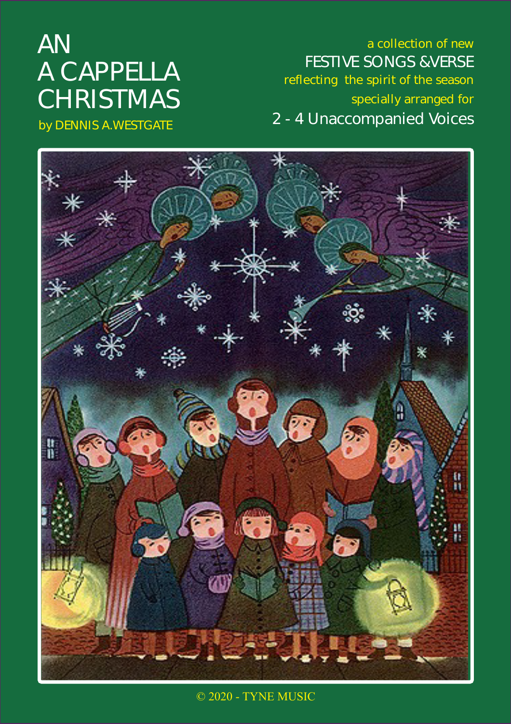# AN A CAPPELLA **CHRISTMAS**

by DENNIS A.WESTGATE

a collection of new FESTIVE SONGS &VERSE reflecting the spirit of the season specially arranged for 2 - 4 Unaccompanied Voices



© 2020 - TYNE MUSIC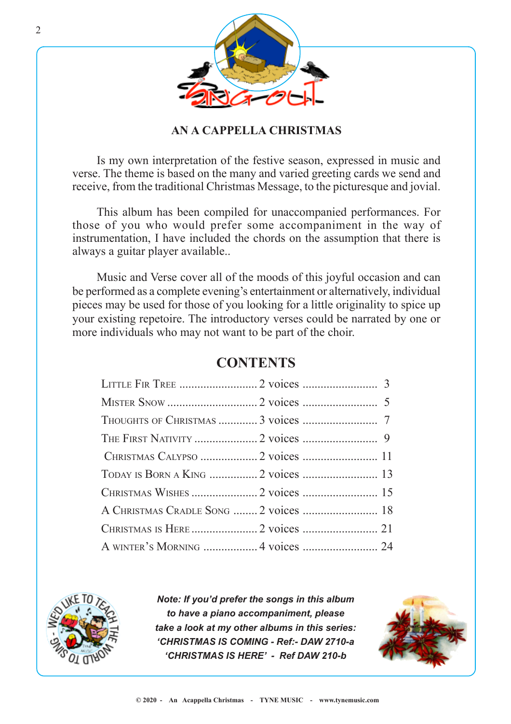

#### **AN A CAPPELLA CHRISTMAS**

Is my own interpretation of the festive season, expressed in music and verse. The theme is based on the many and varied greeting cards we send and receive, from the traditional Christmas Message, to the picturesque and jovial.

This album has been compiled for unaccompanied performances. For those of you who would prefer some accompaniment in the way of instrumentation, I have included the chords on the assumption that there is always a guitar player available..

Music and Verse cover all of the moods of this joyful occasion and can be performed as a complete evening's entertainment or alternatively, individual pieces may be used for those of you looking for a little originality to spice up your existing repetoire. The introductory verses could be narrated by one or more individuals who may not want to be part of the choir.

#### LITTLE FIR TREE .......................... 2 voices ......................... 3 MISTER SNOW .............................. 2 voices ......................... 5 THOUGHTS OF CHRISTMAS ............. 3 voices ......................... 7 THE FIRST NATIVITY ..................... 2 voices ......................... 9 CHRISTMAS CALYPSO ................... 2 voices ......................... 11 TODAY IS BORN A KING ................ 2 voices ......................... 13 CHRISTMAS WISHES ...................... 2 voices ......................... 15 A CHRISTMAS CRADLE SONG ........ 2 voices ......................... 18 CHRISTMAS IS HERE ...................... 2 voices ......................... 21 A WINTER'S MORNING .................. 4 voices ......................... 24

#### **CONTENTS**



*Note: If you'd prefer the songs in this album to have a piano accompaniment, please take a look at my other albums in this series: 'CHRISTMAS IS COMING - Ref:- DAW 2710-a 'CHRISTMAS IS HERE' - Ref DAW 210-b*

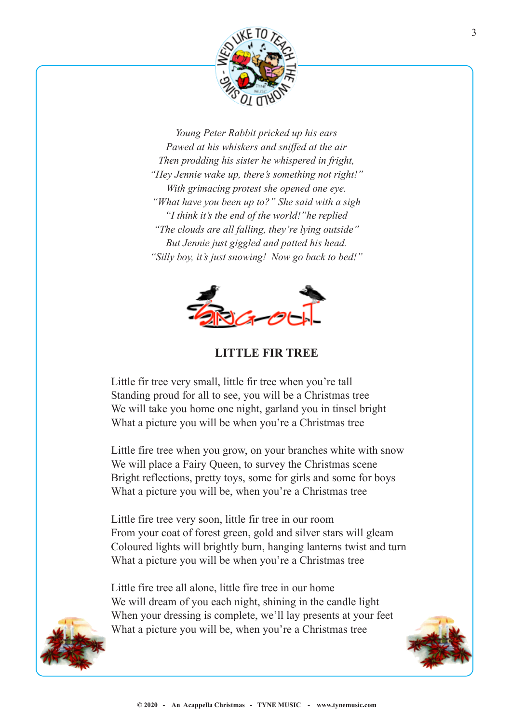

*Young Peter Rabbit pricked up his ears Pawed at his whiskers and sniffed at the air Then prodding his sister he whispered in fright, "Hey Jennie wake up, there's something not right!" With grimacing protest she opened one eye. "What have you been up to?" She said with a sigh "I think it's the end of the world!"he replied "The clouds are all falling, they're lying outside" But Jennie just giggled and patted his head. "Silly boy, it's just snowing! Now go back to bed!"*



**LITTLE FIR TREE**

Little fir tree very small, little fir tree when you're tall Standing proud for all to see, you will be a Christmas tree We will take you home one night, garland you in tinsel bright What a picture you will be when you're a Christmas tree

Little fire tree when you grow, on your branches white with snow We will place a Fairy Queen, to survey the Christmas scene Bright reflections, pretty toys, some for girls and some for boys What a picture you will be, when you're a Christmas tree

Little fire tree very soon, little fir tree in our room From your coat of forest green, gold and silver stars will gleam Coloured lights will brightly burn, hanging lanterns twist and turn What a picture you will be when you're a Christmas tree

Little fire tree all alone, little fire tree in our home We will dream of you each night, shining in the candle light When your dressing is complete, we'll lay presents at your feet What a picture you will be, when you're a Christmas tree



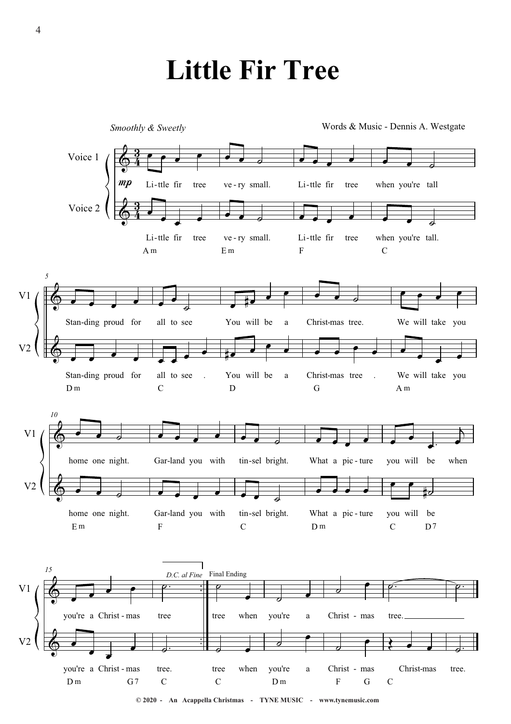# **Little Fir Tree**

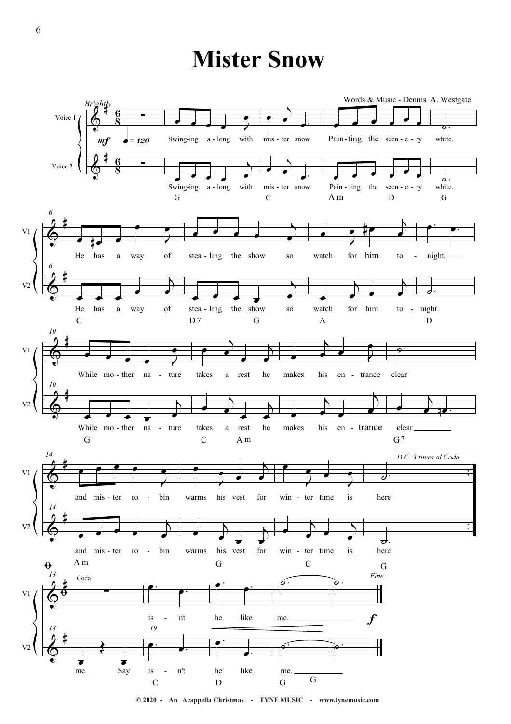### **Mister Snow**



© 2020 - An Acappella Christmas - TYNE MUSIC - www.tynemusic.com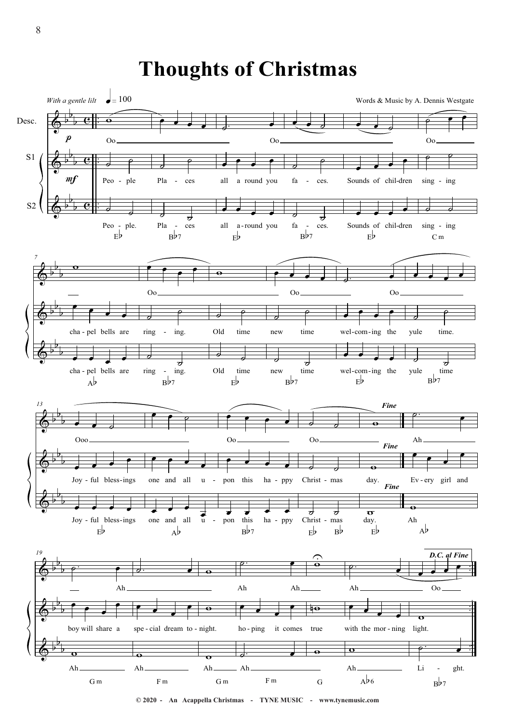### **Thoughts of Christmas**

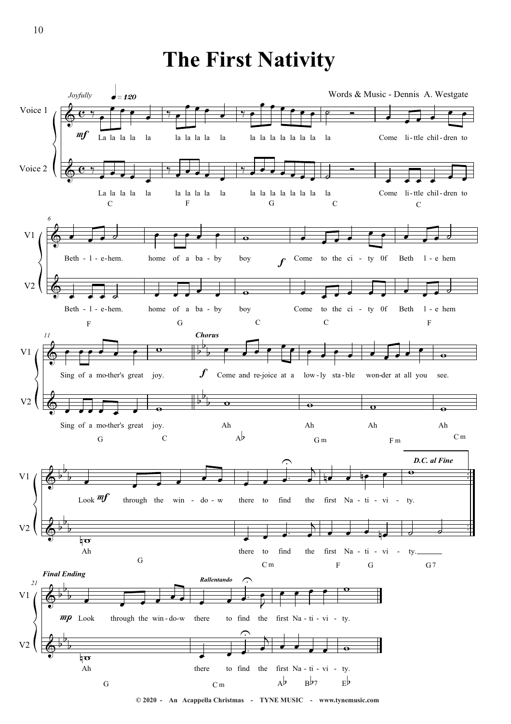#### **The First Nativity**



**© 2020 - An Acappella Christmas - TYNE MUSIC - www.tynemusic.com**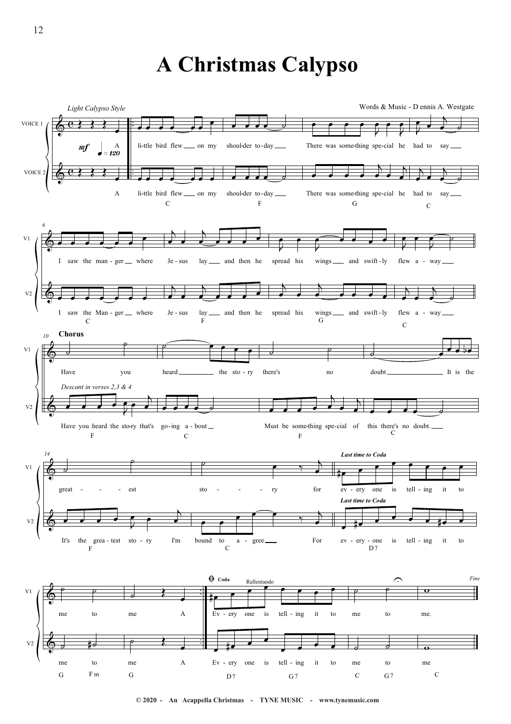### **A Christmas Calypso**

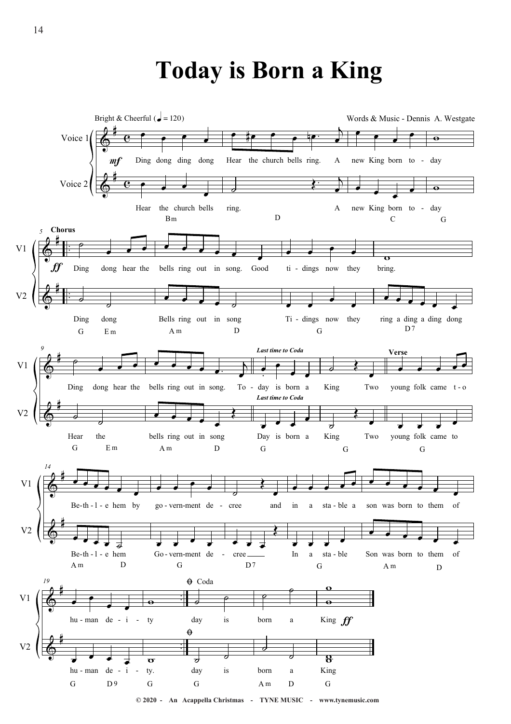# **Today is Born a King**

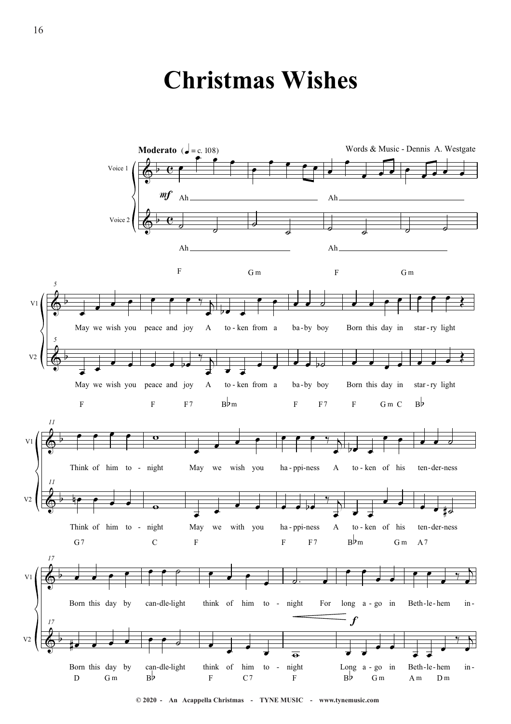## **Christmas Wishes**

![](_page_9_Figure_1.jpeg)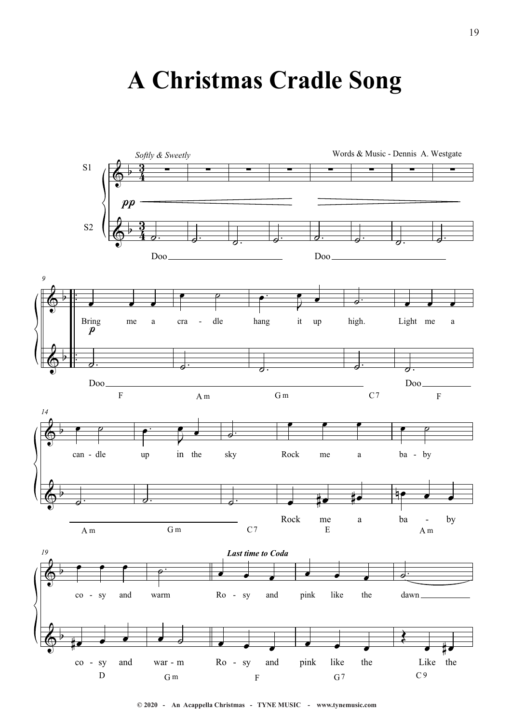# **A Christmas Cradle Song**

![](_page_10_Figure_1.jpeg)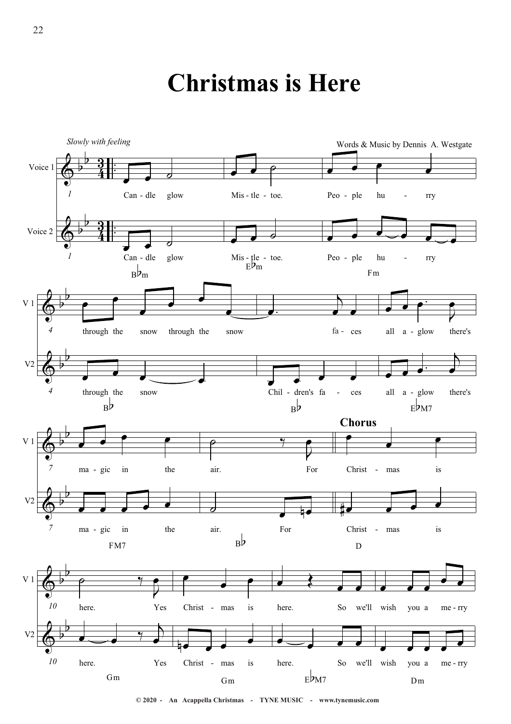## **Christmas is Here**

![](_page_11_Figure_1.jpeg)

**© 2020 - An Acappella Christmas - TYNE MUSIC - www.tynemusic.com**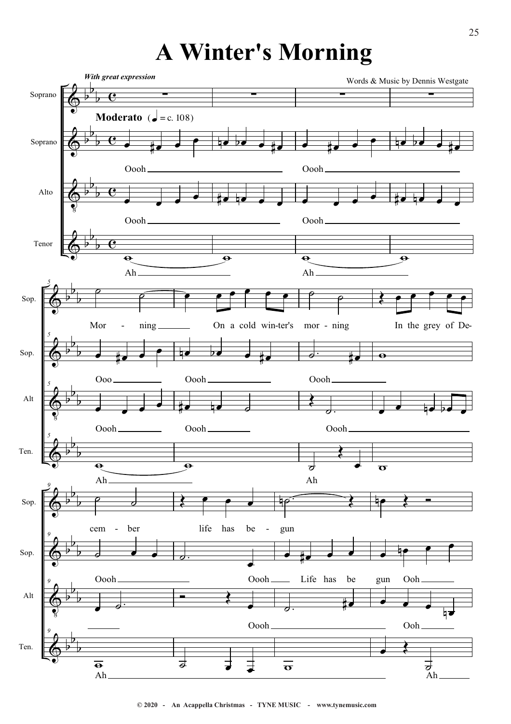# **A Winter's Morning**

![](_page_12_Figure_1.jpeg)